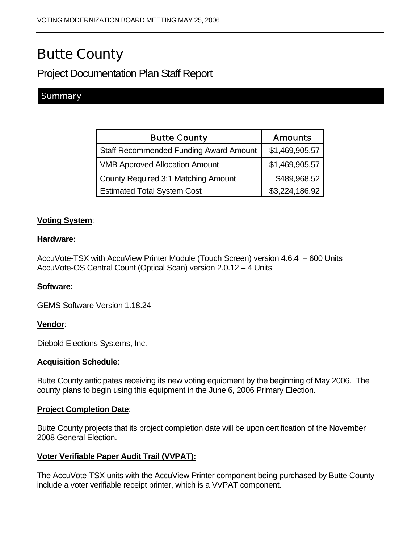# Butte County

# Project Documentation Plan Staff Report

# **Summary**

| <b>Butte County</b>                           | <b>Amounts</b> |
|-----------------------------------------------|----------------|
| <b>Staff Recommended Funding Award Amount</b> | \$1,469,905.57 |
| <b>VMB Approved Allocation Amount</b>         | \$1,469,905.57 |
| <b>County Required 3:1 Matching Amount</b>    | \$489,968.52   |
| <b>Estimated Total System Cost</b>            | \$3,224,186.92 |

## **Voting System**:

#### **Hardware:**

AccuVote-TSX with AccuView Printer Module (Touch Screen) version 4.6.4 – 600 Units AccuVote-OS Central Count (Optical Scan) version 2.0.12 – 4 Units

#### **Software:**

GEMS Software Version 1.18.24

#### **Vendor**:

Diebold Elections Systems, Inc.

#### **Acquisition Schedule**:

Butte County anticipates receiving its new voting equipment by the beginning of May 2006. The county plans to begin using this equipment in the June 6, 2006 Primary Election.

#### **Project Completion Date**:

Butte County projects that its project completion date will be upon certification of the November 2008 General Election.

#### **Voter Verifiable Paper Audit Trail (VVPAT):**

The AccuVote-TSX units with the AccuView Printer component being purchased by Butte County include a voter verifiable receipt printer, which is a VVPAT component.